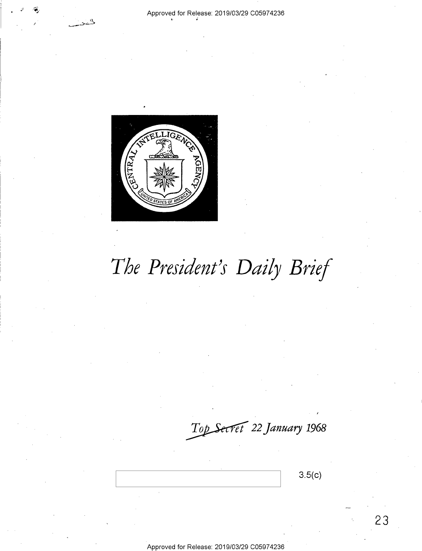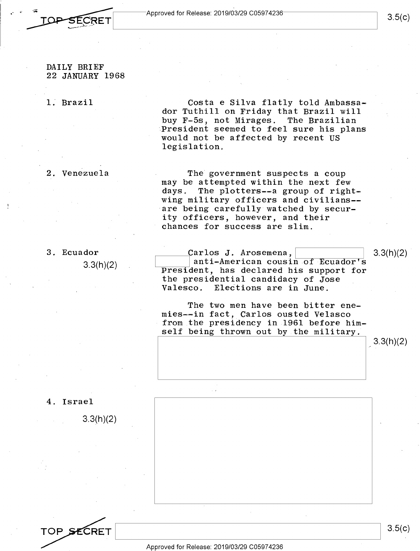

#### DAILY BRIEF 22 JANUARY 1968

1. Brazil

Costa e Silva flatly told Ambassador Tuthill on Friday that Brazil will buy F-5s, not Mirages. The Brazilian President seemed to feel sure his plans would not be affected by recent US legislation.

2. Venezuela

The government suspects a coup may be attempted within the next few days. The plotters--a group of rightwing military officers and civilians- are being carefully watched by security officers, however, and their chances for success are slim.

3. Ecuador

3.3(h)(2)

Carlos J. Arosemena,<br>| anti-American cousin of Ecuador's President, has declared his support for the presidential candidacy of Jose Valesco. Elections are in June.

The two men have been bitter enemies--in fact, Carlos ousted Velasco from the presidency in 1961 before himself being thrown out by the military.

3.3(h)(2)

4. Israel

3.3(h)(2)



3.5(c)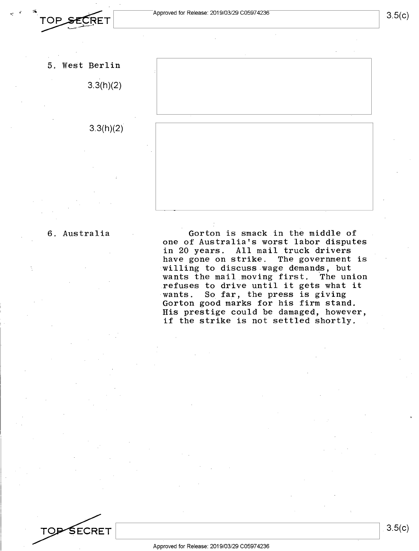

3.3(h)(2)

# 3.3(h)(2)



6. Australia Gorton is smack in the middle of one of Australia's worst labor disputes in 20 years. All mail truck drivers have gone on strike. The government is willing to discuss wage demands, but wants the mail moving first. The union refuses to drive until it gets what it wants. So far, the press is giving Gorton good marks for his firm stand. His prestige could be damaged, however, if the strike is not settled shortly.

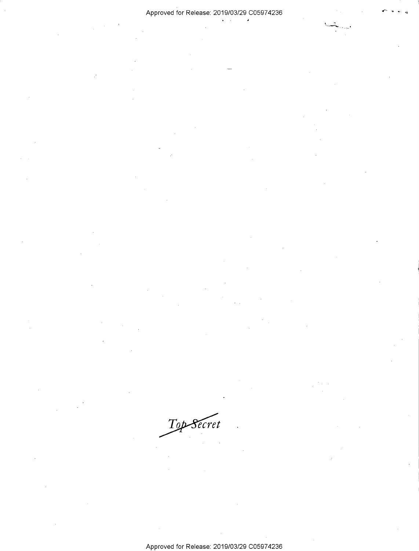## Approved for Release: 2019/03/29 C0597 4236

 $\lambda$ 

kis.

 $\mathcal{T}$ op Secret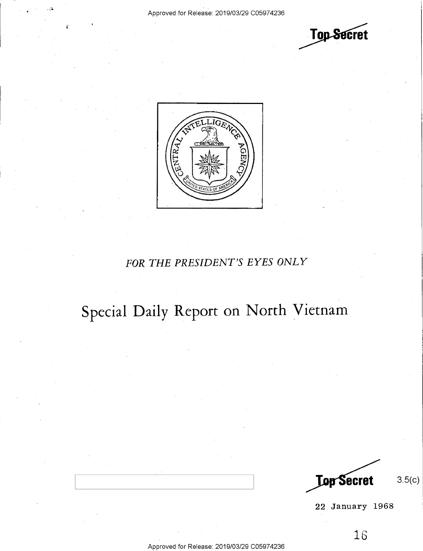



# *FOR THE PRESIDENT'S EYES ONLY*

# **Special Daily Report on North Vietnam**

**Lop Secret** 

3.5(c)

22 January 1968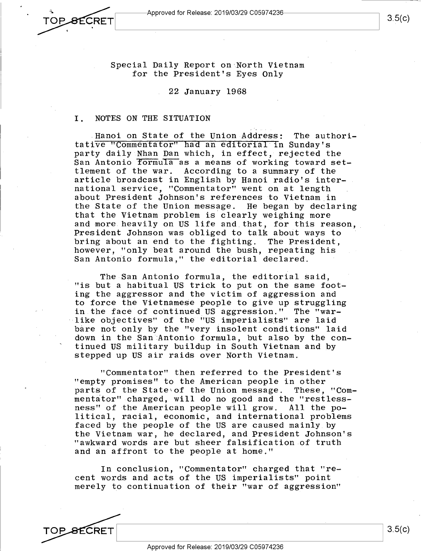TOP\_<del>S</del>ECRET

Special Daily Report on·North Vietnam for the President's Eyes Only

22 January 1968

#### I. NOTES ON THE SITUATION

Hanoi on State of the Union Address: The authoritative "Commentator" had an editorial in Sunday's party daily Nhan Dan which, in effect, rejected the San Antonio formula as a means of working toward set-<br>tlement of the war. According to a summary of the According to a summary of the article broadcast in English by Hanoi radio's international service, "Commentator" went on at length about President Johnson's references to Vietnam in the State of the Union message. He began by declaring that the Vietnam problem is clearly weighing more and more heavily on US life and that, for this reason, President Johnson was obliged to talk about ways to bring about an end to the fighting. The President, however, "only beat around the bush, repeating his San Antonio formula," the editorial declared.

The San Antonio formula, the editorial said, "is but a habitual US trick to put on the same footing the aggressor and the victim of aggression and to force the Vietnamese people to give up struggling in the face of continued US aggression." The "warlike objectives" of the "US imperialists" are laid bare not only by the "very insolent conditions" laid down in the San Antonio formula, but also by the continued US military buildup in South Vietnam and by stepped up US air raids over North Vietnam.

"Commentator" then referred to the President's "empty promises" to the American people in other<br>parts of the State\of the Union message. These, "Comparts of the State of the Union message. mentator" charged, will do no good and the "restless-<br>ness" of the American people will grow. All the poness" of the American people will grow. litical, racial, economic, and international problems faced by the people of the US are caused mainly by the Vietnam war, he declared, and President Johnson's "awkward words are but sheer falsification of truth and an affront to the people at home."

In conclusion, "Commentator" charged that "recent words and acts of the US imperialists" point merely to continuation of their "war of aggression"

**SECRET**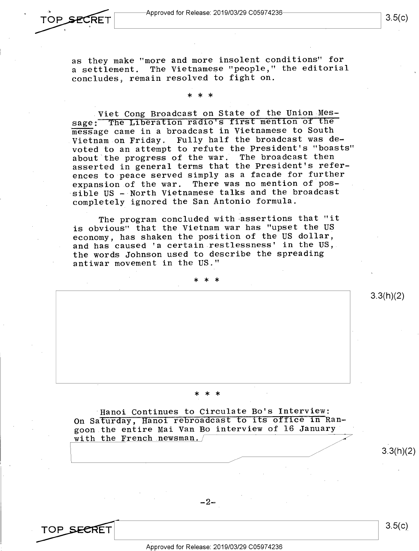**..... -:RET ~---\_\_\_\_\_\_\_\_\_\_\_\_ \_\_\_JI** 3.5(c)

as they make "more and more insolent conditions" for <sup>a</sup>settlement. The Vietnamese "people," the editorial concludes, remain resolved to fight on.

# \* \* \*

<sup>~</sup>

Viet Cong Broadcast on State of the Union Message: The Liberation radio's first mention of the message came in a broadcast in Vietnamese to South Vietnam on Friday. Fully half the broadcast was devoted to an attempt to refute the President's "boasts" about the progress of the war. The broadcast then asserted in general terms that the President's references to peace served simply as <sup>a</sup>facade for further expansion of the war. There was no mention of possible US - North Vietnamese talks and the broadcast completely ignored the San Antonio formula.

The program concluded with -assertions that "it is obvious" that the Vietnam war has "upset the US economy, has shaken the position of the US dollar, and has caused 'a certain restlessness' in the US, the words Johnson used to describe the spreading antiwar movement in the US."

\* \* \*

# \* \* \*

Hanoi Continues to Circulate Bo's Interview: On Saturday, Hanoi rebroadcast to its office in Rangoon the entire Mai Van Bo interview of 16 January with the French newsman.

-2-

**~-----------------**

Approved for Release: 2019/03/29 C0597 4236

**\_\_ \_\_JI** 3.5(c)

3.3(h)(2)

3.3(h)(2)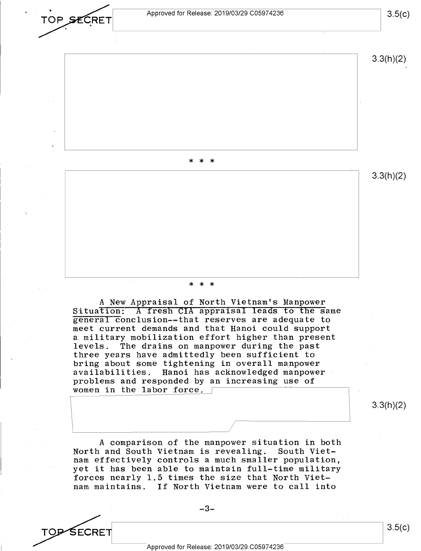

SECRET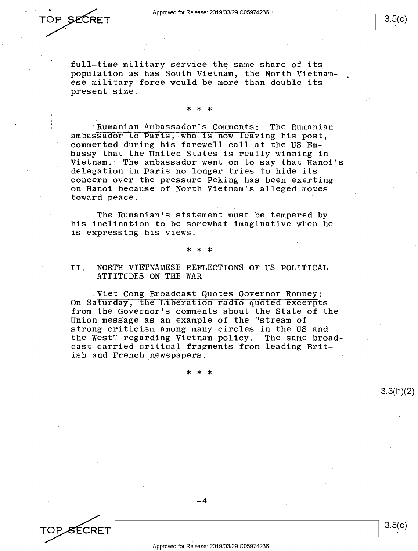full-time military service the same share of its population as has South Vietnam, the North Vietnamese military force would be more than double its present size;

\* \* \*

#### .Rumanian Ambassador's Comments: The Rumanian ambassador to Paris, who is now leaving his post, commented during his farewell call at the US Embassy that the United States is really winning in<br>Vietnam. The ambassador went on to say that Hano The ambassador went on to say that Hanoi's delegation in Paris no longer tries to hide its concern over the pressure Peking has been exerting on Hanoi because of North Vietnam's alleged moves toward peace.

The Rumanian's statement must be tempered by his inclination to be somewhat imaginative when he is expressing his views.

# \* \* \*

#### II. NORTH VIETNAMESE REFLECTIONS OF US POLITICAL ATTITUDES ON THE WAR

Viet Cong Broadcast Quotes Governor Romney: On Saturday, the Liberation radio quoted excerpts from the Governor's comments about the State of the Union message as an example of the "stream of strong criticism among many circles in the US and the West" regarding Vietnam policy. The same broadcast carried critical fragments from leading British and French newspapers.

\* \* \*

TOP SECRET 3 Approved for Release: 2019/03/29 C0597 4236

-4-

3.3(h)(2)

3.5(c)

3.5(c)